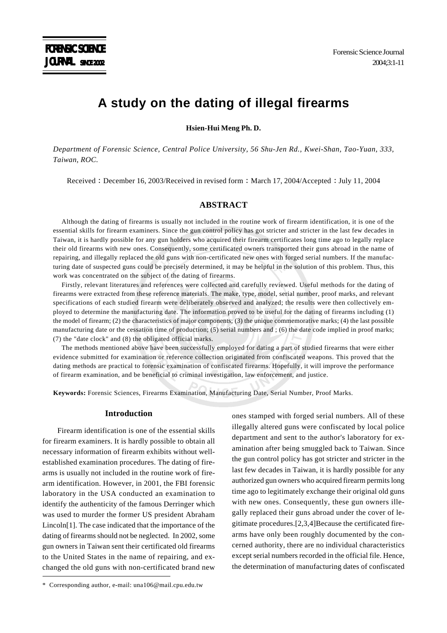# **A study on the dating of illegal firearms**

**Hsien-Hui Meng Ph. D.**

*Department of Forensic Science, Central Police University, 56 Shu-Jen Rd., Kwei-Shan, Tao-Yuan, 333, Taiwan, ROC.*

Received : December 16, 2003/Received in revised form : March 17, 2004/Accepted : July 11, 2004

## **ABSTRACT**

Although the dating of firearms is usually not included in the routine work of firearm identification, it is one of the essential skills for firearm examiners. Since the gun control policy has got stricter and stricter in the last few decades in Taiwan, it is hardly possible for any gun holders who acquired their firearm certificates long time ago to legally replace their old firearms with new ones. Consequently, some certificated owners transported their guns abroad in the name of repairing, and illegally replaced the old guns with non-certificated new ones with forged serial numbers. If the manufacturing date of suspected guns could be precisely determined, it may be helpful in the solution of this problem. Thus, this work was concentrated on the subject of the dating of firearms.

Firstly, relevant literatures and references were collected and carefully reviewed. Useful methods for the dating of firearms were extracted from these reference materials. The make, type, model, serial number, proof marks, and relevant specifications of each studied firearm were deliberately observed and analyzed; the results were then collectively employed to determine the manufacturing date. The information proved to be useful for the dating of firearms including (1) the model of firearm; (2) the characteristics of major components; (3) the unique commemorative marks; (4) the last possible manufacturing date or the cessation time of production; (5) serial numbers and ; (6) the date code implied in proof marks; (7) the "date clock" and (8) the obligated official marks.

The methods mentioned above have been successfully employed for dating a part of studied firearms that were either evidence submitted for examination or reference collection originated from confiscated weapons. This proved that the dating methods are practical to forensic examination of confiscated firearms. Hopefully, it will improve the performance of firearm examination, and be beneficial to criminal investigation, law enforcement, and justice.

**Keywords:** Forensic Sciences, Firearms Examination, Manufacturing Date, Serial Number, Proof Marks.

#### **Introduction**

Firearm identification is one of the essential skills for firearm examiners. It is hardly possible to obtain all necessary information of firearm exhibits without wellestablished examination procedures. The dating of firearms is usually not included in the routine work of firearm identification. However, in 2001, the FBI forensic laboratory in the USA conducted an examination to identify the authenticity of the famous Derringer which was used to murder the former US president Abraham Lincoln[1]. The case indicated that the importance of the dating of firearms should not be neglected. In 2002, some gun owners in Taiwan sent their certificated old firearms to the United States in the name of repairing, and exchanged the old guns with non-certificated brand new ones stamped with forged serial numbers. All of these illegally altered guns were confiscated by local police department and sent to the author's laboratory for examination after being smuggled back to Taiwan. Since the gun control policy has got stricter and stricter in the last few decades in Taiwan, it is hardly possible for any authorized gun owners who acquired firearm permits long time ago to legitimately exchange their original old guns with new ones. Consequently, these gun owners illegally replaced their guns abroad under the cover of legitimate procedures.[2,3,4]Because the certificated firearms have only been roughly documented by the concerned authority, there are no individual characteristics except serial numbers recorded in the official file. Hence, the determination of manufacturing dates of confiscated

<sup>\*</sup> Corresponding author, e-mail: una106@mail.cpu.edu.tw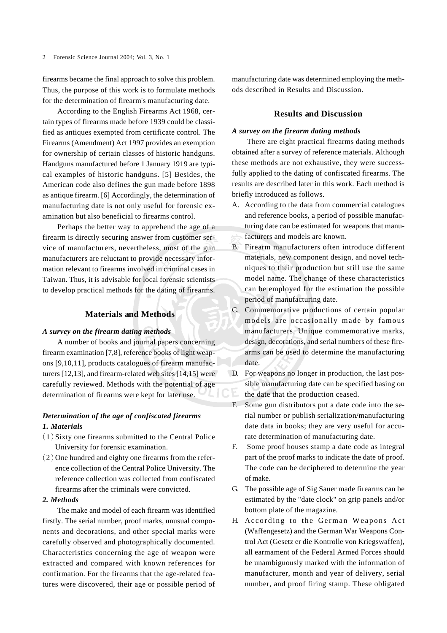firearms became the final approach to solve this problem. Thus, the purpose of this work is to formulate methods for the determination of firearm's manufacturing date.

According to the English Firearms Act 1968, certain types of firearms made before 1939 could be classified as antiques exempted from certificate control. The Firearms (Amendment) Act 1997 provides an exemption for ownership of certain classes of historic handguns. Handguns manufactured before 1 January 1919 are typical examples of historic handguns. [5] Besides, the American code also defines the gun made before 1898 as antique firearm. [6] Accordingly, the determination of manufacturing date is not only useful for forensic examination but also beneficial to firearms control.

Perhaps the better way to apprehend the age of a firearm is directly securing answer from customer service of manufacturers, nevertheless, most of the gun manufacturers are reluctant to provide necessary information relevant to firearms involved in criminal cases in Taiwan. Thus, it is advisable for local forensic scientists to develop practical methods for the dating of firearms.

#### **Materials and Methods**

#### *A survey on the firearm dating methods*

A number of books and journal papers concerning firearm examination [7,8], reference books of light weapons [9,10,11], products catalogues of firearm manufacturers [12,13], and firearm-related web sites [14,15] were carefully reviewed. Methods with the potential of age determination of firearms were kept for later use.

## *Determination of the age of confiscated firearms 1. Materials*

- $(1)$  Sixty one firearms submitted to the Central Police University for forensic examination.
- $(2)$  One hundred and eighty one firearms from the reference collection of the Central Police University. The reference collection was collected from confiscated firearms after the criminals were convicted.

#### *2. Methods*

The make and model of each firearm was identified firstly. The serial number, proof marks, unusual components and decorations, and other special marks were carefully observed and photographically documented. Characteristics concerning the age of weapon were extracted and compared with known references for confirmation. For the firearms that the age-related features were discovered, their age or possible period of manufacturing date was determined employing the methods described in Results and Discussion.

## **Results and Discussion**

#### *A survey on the firearm dating methods*

There are eight practical firearms dating methods obtained after a survey of reference materials. Although these methods are not exhaustive, they were successfully applied to the dating of confiscated firearms. The results are described later in this work. Each method is briefly introduced as follows.

- A. According to the data from commercial catalogues and reference books, a period of possible manufacturing date can be estimated for weapons that manufacturers and models are known.
- B. Firearm manufacturers often introduce different materials, new component design, and novel techniques to their production but still use the same model name. The change of these characteristics can be employed for the estimation the possible period of manufacturing date.
- C. Commemorative productions of certain popular models are occasionally made by famous manufacturers. Unique commemorative marks, design, decorations, and serial numbers of these firearms can be used to determine the manufacturing date.
- D. For weapons no longer in production, the last possible manufacturing date can be specified basing on the date that the production ceased.
- E. Some gun distributors put a date code into the serial number or publish serialization/manufacturing date data in books; they are very useful for accurate determination of manufacturing date.
- F. Some proof houses stamp a date code as integral part of the proof marks to indicate the date of proof. The code can be deciphered to determine the year of make.
- G. The possible age of Sig Sauer made firearms can be estimated by the "date clock" on grip panels and/or bottom plate of the magazine.
- H. According to the German Weapons Act (Waffengesetz) and the German War Weapons Control Act (Gesetz er die Kontrolle von Kriegswaffen), all earmament of the Federal Armed Forces should be unambiguously marked with the information of manufacturer, month and year of delivery, serial number, and proof firing stamp. These obligated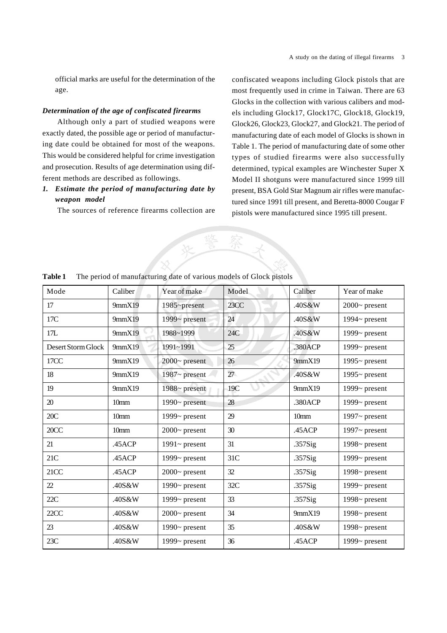official marks are useful for the determination of the age.

## *Determination of the age of confiscated firearms*

Although only a part of studied weapons were exactly dated, the possible age or period of manufacturing date could be obtained for most of the weapons. This would be considered helpful for crime investigation and prosecution. Results of age determination using different methods are described as followings.

## *1. Estimate the period of manufacturing date by weapon model*

The sources of reference firearms collection are

confiscated weapons including Glock pistols that are most frequently used in crime in Taiwan. There are 63 Glocks in the collection with various calibers and models including Glock17, Glock17C, Glock18, Glock19, Glock26, Glock23, Glock27, and Glock21. The period of manufacturing date of each model of Glocks is shown in Table 1. The period of manufacturing date of some other types of studied firearms were also successfully determined, typical examples are Winchester Super X Model II shotguns were manufactured since 1999 till present, BSA Gold Star Magnum air rifles were manufactured since 1991 till present, and Beretta-8000 Cougar F pistols were manufactured since 1995 till present.



| Mode               | Caliber          | Year of make        | Model | Caliber          | Year of make        |
|--------------------|------------------|---------------------|-------|------------------|---------------------|
| 17                 | 9mmX19           | 1985~present        | 23CC  | .40S&W           | $2000$ ~ present    |
| 17C                | 9mmX19           | 1999 $\sim$ present | 24    | .40S&W           | 1994 $\sim$ present |
| 17L                | 9mmX19           | 1988~1999           | 24C   | .40S&W           | 1999~ present       |
| Desert Storm Glock | 9mmX19           | 1991~1991           | 25    | .380ACP          | 1999~ present       |
| 17CC               | 9mmX19           | $2000 -$ present    | 26    | 9mmX19           | 1995 $\sim$ present |
| 18                 | 9mmX19           | $1987 -$ present    | 27    | .40S&W           | 1995 $\sim$ present |
| 19                 | 9mmX19           | $1988 -$ present    | 19C   | 9mmX19           | 1999 $\sim$ present |
| 20                 | 10 <sub>mm</sub> | 1990 $\sim$ present | 28    | .380ACP          | 1999~ present       |
| 20C                | 10 <sub>mm</sub> | 1999~ present       | 29    | 10 <sub>mm</sub> | 1997 $\sim$ present |
| 20CC               | 10 <sub>mm</sub> | $2000 -$ present    | 30    | .45ACP           | 1997 $\sim$ present |
| 21                 | .45ACP           | $1991 -$ present    | 31    | .357Sig          | 1998 $\sim$ present |
| 21C                | .45ACP           | 1999 $\sim$ present | 31C   | .357Sig          | 1999 $\sim$ present |
| 21CC               | .45ACP           | $2000 -$ present    | 32    | $.357$ Sig       | 1998 $\sim$ present |
| 22                 | .40S&W           | 1990 $\sim$ present | 32C   | $.357$ Sig       | 1999 $\sim$ present |
| 22C                | .40S&W           | 1999 $\sim$ present | 33    | .357Sig          | 1998 $\sim$ present |
| 22CC               | .40S&W           | $2000 -$ present    | 34    | 9mmX19           | 1998 $\sim$ present |
| 23                 | .40S&W           | 1990 $\sim$ present | 35    | .40S&W           | 1998~ present       |
| 23C                | .40S&W           | 1999~ present       | 36    | .45ACP           | 1999 $\sim$ present |

**Table 1** The period of manufacturing date of various models of Glock pistols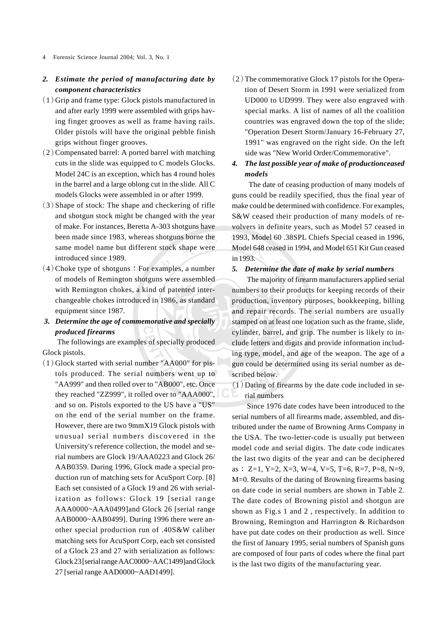## *2. Estimate the period of manufacturing date by component characteristics*

- $(1)$  Grip and frame type: Glock pistols manufactured in and after early 1999 were assembled with grips having finger grooves as well as frame having rails. Older pistols will have the original pebble finish grips without finger grooves.
- $(2)$  Compensated barrel: A ported barrel with matching cuts in the slide was equipped to C models Glocks. Model 24C is an exception, which has 4 round holes in the barrel and a large oblong cut in the slide. All C models Glocks were assembled in or after 1999.
- $(3)$  Shape of stock: The shape and checkering of rifle and shotgun stock might be changed with the year of make. For instances, Beretta A-303 shotguns have been made since 1983, whereas shotguns borne the same model name but different stock shape were introduced since 1989.
- $(4)$  Choke type of shotguns : For examples, a number of models of Remington shotguns were assembled with Remington chokes, a kind of patented interchangeable chokes introduced in 1986, as standard equipment since 1987.
- *3. Determine the age of commemorative and specially produced firearms*

The followings are examples of specially produced Glock pistols.

 $(1)$  Glock started with serial number "AA000" for pistols produced. The serial numbers went up to "AA999" and then rolled over to "AB000", etc. Once they reached "ZZ999", it rolled over to "AAA000", and so on. Pistols exported to the US have a "US" on the end of the serial number on the frame. However, there are two 9mmX19 Glock pistols with unusual serial numbers discovered in the University's reference collection, the model and serial numbers are Glock 19/AAA0223 and Glock 26/ AAB0359. During 1996, Glock made a special production run of matching sets for AcuSport Corp. [8] Each set consisted of a Glock 19 and 26 with serialization as follows: Glock 19 [serial range AAA0000~AAA0499]and Glock 26 [serial range AAB0000~AAB0499]. During 1996 there were another special production run of .40S&W caliber matching sets for AcuSport Corp, each set consisted of a Glock 23 and 27 with serialization as follows: Glock 23 [serial range AAC0000~AAC1499]and Glock 27 [serial range AAD0000~AAD1499].

 $(2)$  The commemorative Glock 17 pistols for the Operation of Desert Storm in 1991 were serialized from UD000 to UD999. They were also engraved with special marks. A list of names of all the coalition countries was engraved down the top of the slide; "Operation Desert Storm/January 16-February 27, 1991" was engraved on the right side. On the left side was "New World Order/Commemorative".

## *4. The last possible year of make of productionceased models*

 The date of ceasing production of many models of guns could be readily specified, thus the final year of make could be determined with confidence. For examples, S&W ceased their production of many models of revolvers in definite years, such as Model 57 ceased in 1993, Model 60 .38SPL Chiefs Special ceased in 1996, Model 648 ceased in 1994, and Model 651 Kit Gun ceased in 1993.

#### *5. Determine the date of make by serial numbers*

The majority of firearm manufacturers applied serial numbers to their products for keeping records of their production, inventory purposes, bookkeeping, billing and repair records. The serial numbers are usually stamped on at least one location such as the frame, slide, cylinder, barrel, and grip. The number is likely to include letters and digits and provide information including type, model, and age of the weapon. The age of a gun could be determined using its serial number as described below.

 $(1)$  Dating of firearms by the date code included in serial numbers

Since 1976 date codes have been introduced to the serial numbers of all firearms made, assembled, and distributed under the name of Browning Arms Company in the USA. The two-letter-code is usually put between model code and serial digits. The date code indicates the last two digits of the year and can be deciphered as  $: Z=1, Y=2, X=3, W=4, V=5, T=6, R=7, P=8, N=9,$ M=0. Results of the dating of Browning firearms basing on date code in serial numbers are shown in Table 2. The date codes of Browning pistol and shotgun are shown as Fig.s 1 and 2 , respectively. In addition to Browning, Remington and Harrington & Richardson have put date codes on their production as well. Since the first of January 1995, serial numbers of Spanish guns are composed of four parts of codes where the final part is the last two digits of the manufacturing year.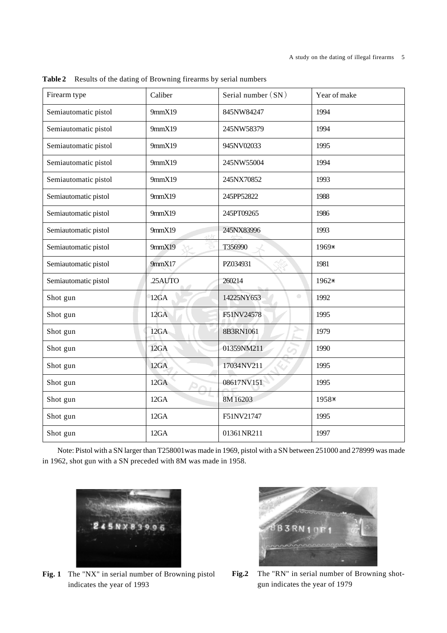| Firearm type                   | Caliber        |                         | Year of make |
|--------------------------------|----------------|-------------------------|--------------|
| Semiautomatic pistol<br>9mmX19 |                | 845NW84247              | 1994         |
| Semiautomatic pistol           | 9mmX19         | 245NW58379              | 1994         |
| Semiautomatic pistol           | 9mmX19         | 945NV02033              | 1995         |
| Semiautomatic pistol           | 9mmX19         | 245NW55004              | 1994         |
| Semiautomatic pistol           | 9mmX19         | 245NX70852              | 1993         |
| Semiautomatic pistol           | 9mmX19         | 245PP52822              | 1988         |
| Semiautomatic pistol           | 9mmX19         | 245PT09265              | 1986         |
| Semiautomatic pistol           | 9mmX19<br>athr | 245NX83996              | 1993         |
| Semiautomatic pistol           | 9mmX19         | T356990                 | 1969*        |
| Semiautomatic pistol           | 9mmX17         | PZ034931                | 1981         |
| Semiautomatic pistol           | .25AUTO        | 260214                  | 1962*        |
| Shot gun                       | 12GA           | $\bullet$<br>14225NY653 | 1992         |
| Shot gun                       | 12GA           | F51NV24578              | 1995         |
| Shot gun                       | 12GA           | 8B3RN1061               | 1979         |
| Shot gun                       | 12GA           | 01359NM211              | 1990         |
| Shot gun                       | 12GA           | 17034NV211              | 1995         |
| Shot gun                       | 12GA           | 08617NV151              | 1995         |
| Shot gun                       | 12GA           | 8M16203                 | 1958*        |
| Shot gun                       | 12GA           | F51NV21747              | 1995         |
| Shot gun                       | 12GA           | 01361NR211              | 1997         |

**Table 2** Results of the dating of Browning firearms by serial numbers

Note: Pistol with a SN larger than T258001was made in 1969, pistol with a SN between 251000 and 278999 was made in 1962, shot gun with a SN preceded with 8M was made in 1958.



**Fig. 1** The "NX" in serial number of Browning pistol indicates the year of 1993



**Fig.2** The "RN" in serial number of Browning shotgun indicates the year of 1979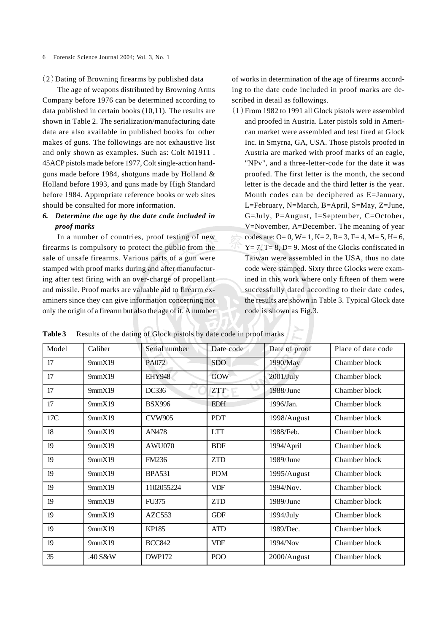$(2)$  Dating of Browning firearms by published data

The age of weapons distributed by Browning Arms Company before 1976 can be determined according to data published in certain books (10,11). The results are shown in Table 2. The serialization/manufacturing date data are also available in published books for other makes of guns. The followings are not exhaustive list and only shown as examples. Such as: Colt M1911 . 45ACP pistols made before 1977, Colt single-action handguns made before 1984, shotguns made by Holland & Holland before 1993, and guns made by High Standard before 1984. Appropriate reference books or web sites should be consulted for more information.

## *6. Determine the age by the date code included in proof marks*

In a number of countries, proof testing of new firearms is compulsory to protect the public from the sale of unsafe firearms. Various parts of a gun were stamped with proof marks during and after manufacturing after test firing with an over-charge of propellant and missile. Proof marks are valuable aid to firearm examiners since they can give information concerning not only the origin of a firearm but also the age of it. A number

of works in determination of the age of firearms according to the date code included in proof marks are described in detail as followings.

 $(1)$  From 1982 to 1991 all Glock pistols were assembled and proofed in Austria. Later pistols sold in American market were assembled and test fired at Glock Inc. in Smyrna, GA, USA. Those pistols proofed in Austria are marked with proof marks of an eagle, "NPv", and a three-letter-code for the date it was proofed. The first letter is the month, the second letter is the decade and the third letter is the year. Month codes can be deciphered as E=January, L=February, N=March, B=April, S=May, Z=June, G=July, P=August, I=September, C=October, V=November, A=December. The meaning of year codes are:  $O= 0$ ,  $W= 1$ ,  $K= 2$ ,  $R= 3$ ,  $F= 4$ ,  $M= 5$ ,  $H= 6$ ,  $Y = 7$ ,  $T = 8$ ,  $D = 9$ . Most of the Glocks confiscated in Taiwan were assembled in the USA, thus no date code were stamped. Sixty three Glocks were examined in this work where only fifteen of them were successfully dated according to their date codes, the results are shown in Table 3. Typical Glock date code is shown as Fig.3.

**Table 3** Results of the dating of Glock pistols by date code in proof marks

| Model | Caliber | Serial number      | Date code  | Date of proof | Place of date code |
|-------|---------|--------------------|------------|---------------|--------------------|
| 17    | 9mmX19  | PA072              | <b>SDO</b> | 1990/May      | Chamber block      |
| 17    | 9mmX19  | <b>EHY948</b>      | <b>GOW</b> | 2001/July     | Chamber block      |
| 17    | 9mmX19  | DC336              | <b>ZTT</b> | 1988/June     | Chamber block      |
| 17    | 9mmX19  | <b>BSX996</b>      | <b>EDH</b> | 1996/Jan.     | Chamber block      |
| 17C   | 9mmX19  | <b>CVW905</b>      | <b>PDT</b> | 1998/August   | Chamber block      |
| 18    | 9mmX19  | AN478              | <b>LTT</b> | 1988/Feb.     | Chamber block      |
| 19    | 9mmX19  | AWU070             | <b>BDF</b> | 1994/April    | Chamber block      |
| 19    | 9mmX19  | <b>FM236</b>       | <b>ZTD</b> | 1989/June     | Chamber block      |
| 19    | 9mmX19  | <b>BPA531</b>      | <b>PDM</b> | 1995/August   | Chamber block      |
| 19    | 9mmX19  | 1102055224         | <b>VDF</b> | 1994/Nov.     | Chamber block      |
| 19    | 9mmX19  | <b>FU375</b>       | <b>ZTD</b> | 1989/June     | Chamber block      |
| 19    | 9mmX19  | AZC <sub>553</sub> | <b>GDF</b> | $1994$ /July  | Chamber block      |
| 19    | 9mmX19  | <b>KP185</b>       | <b>ATD</b> | 1989/Dec.     | Chamber block      |
| 19    | 9mmX19  | <b>BCC842</b>      | <b>VDF</b> | 1994/Nov      | Chamber block      |
| 35    | .40 S&W | <b>DWP172</b>      | POO        | 2000/August   | Chamber block      |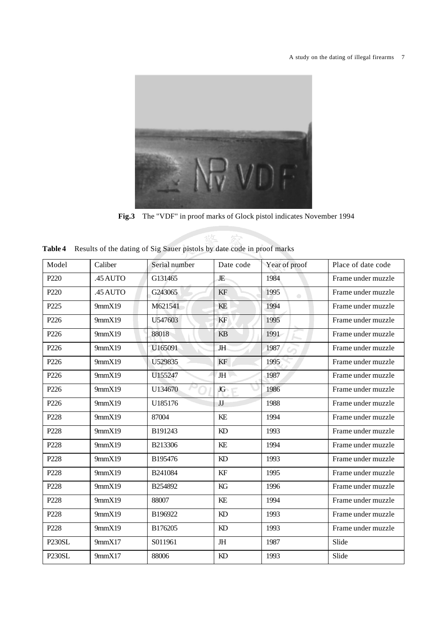

**Fig.3** The "VDF" in proof marks of Glock pistol indicates November 1994

敬

|  | Table 4 Results of the dating of Sig Sauer pistols by date code in proof marks |  |  |  |  |
|--|--------------------------------------------------------------------------------|--|--|--|--|
|--|--------------------------------------------------------------------------------|--|--|--|--|

| Model              | Caliber  | Serial number | Date code | Year of proof     | Place of date code |
|--------------------|----------|---------------|-----------|-------------------|--------------------|
| P <sub>220</sub>   | .45 AUTO | G131465       | JE        | 1984              | Frame under muzzle |
| P <sub>220</sub>   | .45 AUTO | G243065       | KF        | 1995<br>$\bullet$ | Frame under muzzle |
| P225               | 9mmX19   | M621541       | KE        | 1994              | Frame under muzzle |
| P226               | 9mmX19   | U547603       | KF        | 1995              | Frame under muzzle |
| P <sub>226</sub>   | 9mmX19   | 88018         | KB        | 1991              | Frame under muzzle |
| P <sub>226</sub>   | 9mmX19   | U165091       | <b>JH</b> | 1987              | Frame under muzzle |
| P226               | 9mmX19   | U529835       | KF        | 1995              | Frame under muzzle |
| P226               | 9mmX19   | U155247       | <b>JH</b> | 1987              | Frame under muzzle |
| P226               | 9mmX19   | U134670       | JG        | 1986              | Frame under muzzle |
| P226               | 9mmX19   | U185176       | JJ        | 1988              | Frame under muzzle |
| P228               | 9mmX19   | 87004         | KE        | 1994              | Frame under muzzle |
| P228               | 9mmX19   | B191243       | KD        | 1993              | Frame under muzzle |
| P228               | 9mmX19   | B213306       | KE        | 1994              | Frame under muzzle |
| P228               | 9mmX19   | B195476       | KD        | 1993              | Frame under muzzle |
| P228               | 9mmX19   | B241084       | KF        | 1995              | Frame under muzzle |
| P228               | 9mmX19   | B254892       | KG        | 1996              | Frame under muzzle |
| P228               | 9mmX19   | 88007         | KE        | 1994              | Frame under muzzle |
| P <sub>228</sub>   | 9mmX19   | B196922       | KD        | 1993              | Frame under muzzle |
| P228               | 9mmX19   | B176205       | KD        | 1993              | Frame under muzzle |
| P <sub>230SL</sub> | 9mmX17   | S011961       | JH        | 1987              | Slide              |
| P <sub>230SL</sub> | 9mmX17   | 88006         | KD        | 1993              | Slide              |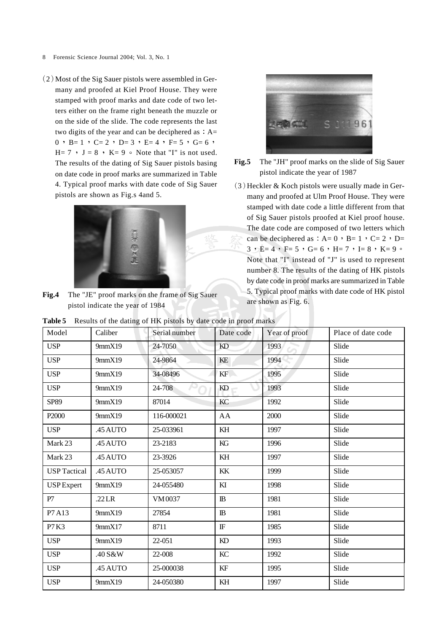- 8 Forensic Science Journal 2004; Vol. 3, No. 1
- $(2)$  Most of the Sig Sauer pistols were assembled in Germany and proofed at Kiel Proof House. They were stamped with proof marks and date code of two letters either on the frame right beneath the muzzle or on the side of the slide. The code represents the last two digits of the year and can be deciphered as  $: A=$ 0 , B= 1 , C= 2 , D= 3 , E= 4 , F= 5 , G= 6 ,  $H= 7$  'o  $J = 8$  'o  $K= 9$   $\circ$  Note that "I" is not used. The results of the dating of Sig Sauer pistols basing on date code in proof marks are summarized in Table 4. Typical proof marks with date code of Sig Sauer pistols are shown as Fig.s 4and 5.



**Fig.4** The "JE" proof marks on the frame of Sig Sauer pistol indicate the year of 1984



**Fig.5** The "JH" proof marks on the slide of Sig Sauer pistol indicate the year of 1987

 $(3)$  Heckler & Koch pistols were usually made in Germany and proofed at Ulm Proof House. They were stamped with date code a little different from that of Sig Sauer pistols proofed at Kiel proof house. The date code are composed of two letters which can be deciphered as  $: A= 0$  ,  $B= 1$  ,  $C= 2$  ,  $D=$  $3 \cdot E= 4 \cdot F= 5 \cdot G= 6 \cdot H= 7 \cdot I= 8 \cdot K= 9$ Note that "I" instead of "J" is used to represent number 8. The results of the dating of HK pistols by date code in proof marks are summarized in Table 5. Typical proof marks with date code of HK pistol are shown as Fig. 6.

| Model               | Caliber  | Serial number | Date code  | Year of proof | Place of date code |
|---------------------|----------|---------------|------------|---------------|--------------------|
| <b>USP</b>          | 9mmX19   | 24-7050       | KD         | 1993          | Slide              |
| <b>USP</b>          | 9mmX19   | 24-9864       | KE         | 1994          | Slide              |
| <b>USP</b>          | 9mmX19   | 34-08496      | KF         | 1995          | Slide              |
| <b>USP</b>          | 9mmX19   | 24-708        | KD         | 1993          | Slide              |
| SP89                | 9mmX19   | 87014         | KC         | 1992          | Slide              |
| P2000               | 9mmX19   | 116-000021    | AA         | 2000          | Slide              |
| <b>USP</b>          | .45 AUTO | 25-033961     | KH         | 1997          | Slide              |
| Mark 23             | .45 AUTO | 23-2183       | KG         | 1996          | Slide              |
| Mark 23             | .45 AUTO | 23-3926       | KH         | 1997          | Slide              |
| <b>USP</b> Tactical | .45 AUTO | 25-053057     | KK         | 1999          | Slide              |
| <b>USP</b> Expert   | 9mmX19   | 24-055480     | KI         | 1998          | Slide              |
| P7                  | .22LR    | VM0037        | $\rm I\!B$ | 1981          | Slide              |
| P7A13               | 9mmX19   | 27854         | $\rm I\!B$ | 1981          | Slide              |
| P7 K3               | 9mmX17   | 8711          | $\rm I\!F$ | 1985          | Slide              |
| <b>USP</b>          | 9mmX19   | 22-051        | KD         | 1993          | Slide              |
| <b>USP</b>          | .40 S&W  | 22-008        | KC         | 1992          | Slide              |
| <b>USP</b>          | .45 AUTO | 25-000038     | KF         | 1995          | Slide              |
| <b>USP</b>          | 9mmX19   | 24-050380     | KH         | 1997          | Slide              |

**Table 5** Results of the dating of HK pistols by date code in proof marks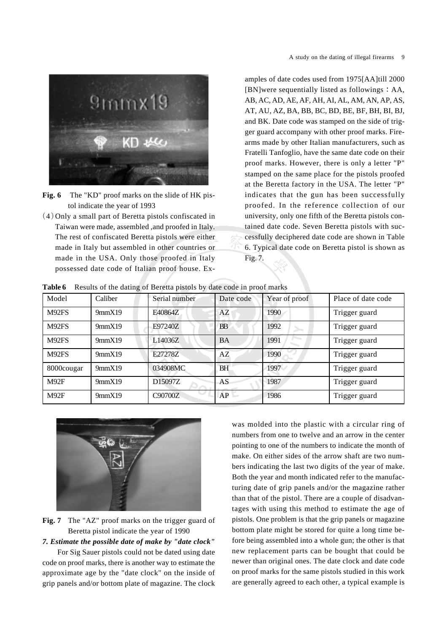

- Fig. 6 The "KD" proof marks on the slide of HK pistol indicate the year of 1993
- $(4)$  Only a small part of Beretta pistols confiscated in Taiwan were made, assembled ,and proofed in Italy. The rest of confiscated Beretta pistols were either made in Italy but assembled in other countries or made in the USA. Only those proofed in Italy possessed date code of Italian proof house. Ex-

amples of date codes used from 1975[AA]till 2000  $[BN]$ were sequentially listed as followings  $: AA$ , AB, AC, AD, AE, AF, AH, AI, AL, AM, AN, AP, AS, AT, AU, AZ, BA, BB, BC, BD, BE, BF, BH, BI, BJ, and BK. Date code was stamped on the side of trigger guard accompany with other proof marks. Firearms made by other Italian manufacturers, such as Fratelli Tanfoglio, have the same date code on their proof marks. However, there is only a letter "P" stamped on the same place for the pistols proofed at the Beretta factory in the USA. The letter "P" indicates that the gun has been successfully proofed. In the reference collection of our university, only one fifth of the Beretta pistols contained date code. Seven Beretta pistols with successfully deciphered date code are shown in Table 6. Typical date code on Beretta pistol is shown as Fig. 7.

|  |  |  |  | Table 6 Results of the dating of Beretta pistols by date code in proof marks |
|--|--|--|--|------------------------------------------------------------------------------|
|--|--|--|--|------------------------------------------------------------------------------|

| Model      | Caliber | Serial number | Date code | Year of proof | Place of date code |
|------------|---------|---------------|-----------|---------------|--------------------|
| M92FS      | 9mmX19  | E40864Z       | AZ        | 1990          | Trigger guard      |
| M92FS      | 9mmX19  | E97240Z       | <b>BB</b> | 1992          | Trigger guard      |
| M92FS      | 9mmX19  | L14036Z       | BA        | 1991          | Trigger guard      |
| M92FS      | 9mmX19  | E27278Z       | AZ        | 1990          | Trigger guard      |
| 8000cougar | 9mmX19  | 034908MC      | <b>BH</b> | 1997          | Trigger guard      |
| M92F       | 9mmX19  | D15097Z       | AS        | 1987          | Trigger guard      |
| M92F       | 9mmX19  | C90700Z       | AP        | 1986          | Trigger guard      |



**Fig. 7** The "AZ" proof marks on the trigger guard of Beretta pistol indicate the year of 1990

*7. Estimate the possible date of make by "date clock"*

For Sig Sauer pistols could not be dated using date code on proof marks, there is another way to estimate the approximate age by the "date clock" on the inside of grip panels and/or bottom plate of magazine. The clock was molded into the plastic with a circular ring of numbers from one to twelve and an arrow in the center pointing to one of the numbers to indicate the month of make. On either sides of the arrow shaft are two numbers indicating the last two digits of the year of make. Both the year and month indicated refer to the manufacturing date of grip panels and/or the magazine rather than that of the pistol. There are a couple of disadvantages with using this method to estimate the age of pistols. One problem is that the grip panels or magazine bottom plate might be stored for quite a long time before being assembled into a whole gun; the other is that new replacement parts can be bought that could be newer than original ones. The date clock and date code on proof marks for the same pistols studied in this work are generally agreed to each other, a typical example is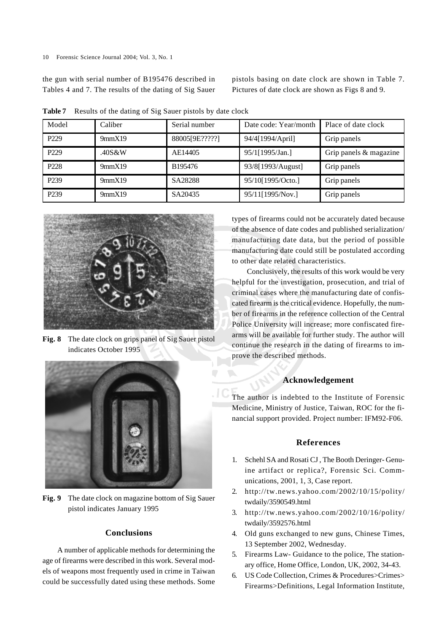the gun with serial number of B195476 described in Tables 4 and 7. The results of the dating of Sig Sauer pistols basing on date clock are shown in Table 7. Pictures of date clock are shown as Figs 8 and 9.

| Model            | Caliber | Serial number  | Date code: Year/month | Place of date clock    |
|------------------|---------|----------------|-----------------------|------------------------|
| P <sub>229</sub> | 9mmX19  | 88005[9E?????] | 94/4[1994/April]      | Grip panels            |
| P <sub>229</sub> | .40S&W  | AE14405        | 95/1[1995/Jan.]       | Grip panels & magazine |
| P <sub>228</sub> | 9mmX19  | B195476        | 93/8[1993/August]     | Grip panels            |
| P <sub>239</sub> | 9mmX19  | SA28288        | 95/10[1995/Octo.]     | Grip panels            |
| P <sub>239</sub> | 9mmX19  | SA20435        | 95/11[1995/Nov.]      | Grip panels            |

**Table 7** Results of the dating of Sig Sauer pistols by date clock



**Fig. 8** The date clock on grips panel of Sig Sauer pistol indicates October 1995



**Fig. 9** The date clock on magazine bottom of Sig Sauer pistol indicates January 1995

## **Conclusions**

A number of applicable methods for determining the age of firearms were described in this work. Several models of weapons most frequently used in crime in Taiwan could be successfully dated using these methods. Some types of firearms could not be accurately dated because of the absence of date codes and published serialization/ manufacturing date data, but the period of possible manufacturing date could still be postulated according to other date related characteristics.

Conclusively, the results of this work would be very helpful for the investigation, prosecution, and trial of criminal cases where the manufacturing date of confiscated firearm is the critical evidence. Hopefully, the number of firearms in the reference collection of the Central Police University will increase; more confiscated firearms will be available for further study. The author will continue the research in the dating of firearms to improve the described methods.

### **Acknowledgement**

The author is indebted to the Institute of Forensic Medicine, Ministry of Justice, Taiwan, ROC for the financial support provided. Project number: IFM92-F06.

#### **References**

- 1. Schehl SA and Rosati CJ , The Booth Deringer- Genuine artifact or replica?, Forensic Sci. Communications, 2001, 1, 3, Case report.
- 2. http://tw.news.yahoo.com/2002/10/15/polity/ twdaily/3590549.html
- 3. http://tw.news.yahoo.com/2002/10/16/polity/ twdaily/3592576.html
- 4. Old guns exchanged to new guns, Chinese Times, 13 September 2002, Wednesday.
- 5. Firearms Law- Guidance to the police, The stationary office, Home Office, London, UK, 2002, 34-43.
- 6. US Code Collection, Crimes & Procedures>Crimes> Firearms>Definitions, Legal Information Institute,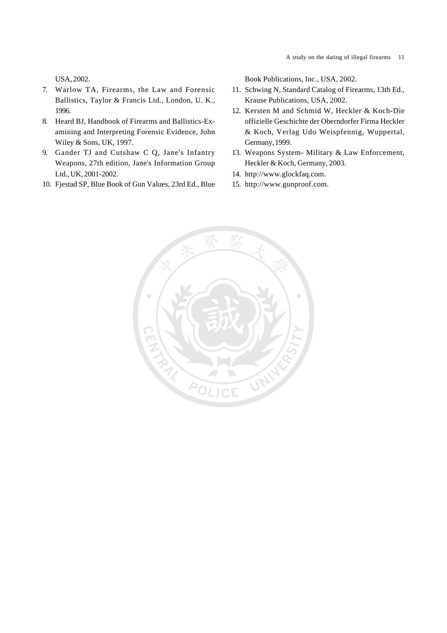USA, 2002.

- 7. Warlow TA, Firearms, the Law and Forensic Ballistics, Taylor & Francis Ltd., London, U. K., 1996.
- 8. Heard BJ, Handbook of Firearms and Ballistics-Examining and Interpreting Forensic Evidence, John Wiley & Sons, UK, 1997.
- 9. Gander TJ and Cutshaw C Q, Jane's Infantry Weapons, 27th edition, Jane's Information Group Ltd., UK, 2001-2002.
- 10. Fjestad SP, Blue Book of Gun Values, 23rd Ed., Blue

Book Publications, Inc., USA, 2002.

- 11. Schwing N, Standard Catalog of Firearms, 13th Ed., Krause Publications, USA, 2002.
- 12. Kersten M and Schmid W, Heckler & Koch-Die offizielle Geschichte der Oberndorfer Firma Heckler & Koch, Verlag Udo Weispfennig, Wuppertal, Germany, 1999.
- 13. Weapons System- Military & Law Enforcement, Heckler & Koch, Germany, 2003.
- 14. http://www.glockfaq.com.
- 15. http://www.gunproof.com.